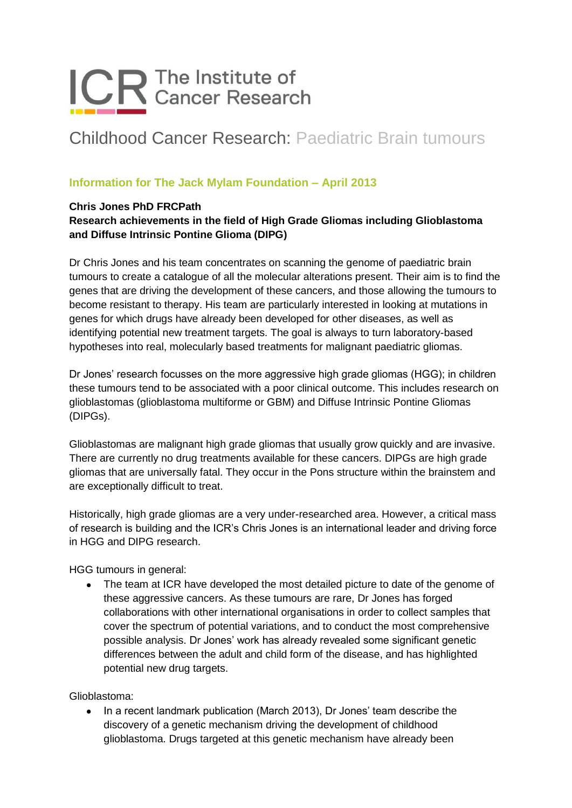# ICR The Institute of

## Childhood Cancer Research: Paediatric Brain tumours

### **Information for The Jack Mylam Foundation – April 2013**

#### **Chris Jones PhD FRCPath**

### **Research achievements in the field of High Grade Gliomas including Glioblastoma and Diffuse Intrinsic Pontine Glioma (DIPG)**

Dr Chris Jones and his team concentrates on scanning the genome of paediatric brain tumours to create a catalogue of all the molecular alterations present. Their aim is to find the genes that are driving the development of these cancers, and those allowing the tumours to become resistant to therapy. His team are particularly interested in looking at mutations in genes for which drugs have already been developed for other diseases, as well as identifying potential new treatment targets. The goal is always to turn laboratory-based hypotheses into real, molecularly based treatments for malignant paediatric gliomas.

Dr Jones' research focusses on the more aggressive high grade gliomas (HGG); in children these tumours tend to be associated with a poor clinical outcome. This includes research on glioblastomas (glioblastoma multiforme or GBM) and Diffuse Intrinsic Pontine Gliomas (DIPGs).

Glioblastomas are malignant high grade gliomas that usually grow quickly and are invasive. There are currently no drug treatments available for these cancers. DIPGs are high grade gliomas that are universally fatal. They occur in the Pons structure within the brainstem and are exceptionally difficult to treat.

Historically, high grade gliomas are a very under-researched area. However, a critical mass of research is building and the ICR's Chris Jones is an international leader and driving force in HGG and DIPG research.

HGG tumours in general:

 $\bullet$ The team at ICR have developed the most detailed picture to date of the genome of these aggressive cancers. As these tumours are rare, Dr Jones has forged collaborations with other international organisations in order to collect samples that cover the spectrum of potential variations, and to conduct the most comprehensive possible analysis. Dr Jones' work has already revealed some significant genetic differences between the adult and child form of the disease, and has highlighted potential new drug targets.

Glioblastoma:

In a recent landmark publication (March 2013), Dr Jones' team describe the  $\bullet$ discovery of a genetic mechanism driving the development of childhood glioblastoma. Drugs targeted at this genetic mechanism have already been